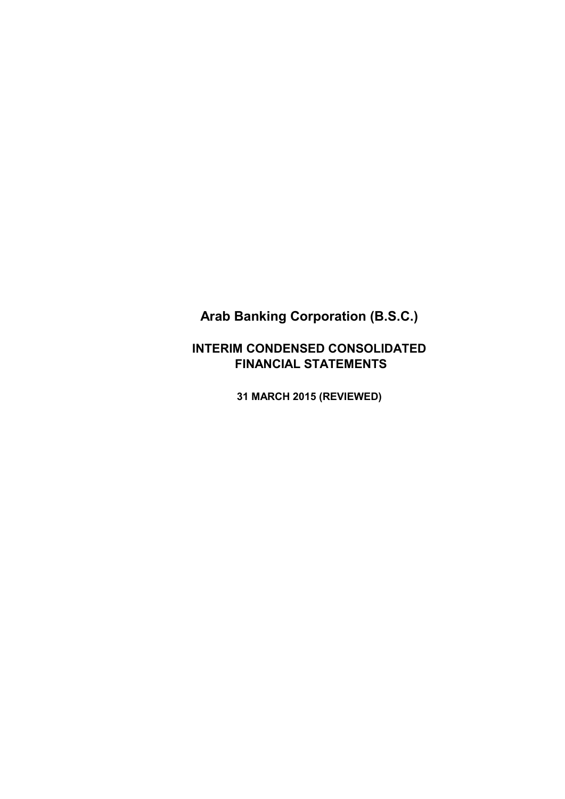# **INTERIM CONDENSED CONSOLIDATED FINANCIAL STATEMENTS**

**31 MARCH 2015 (REVIEWED)**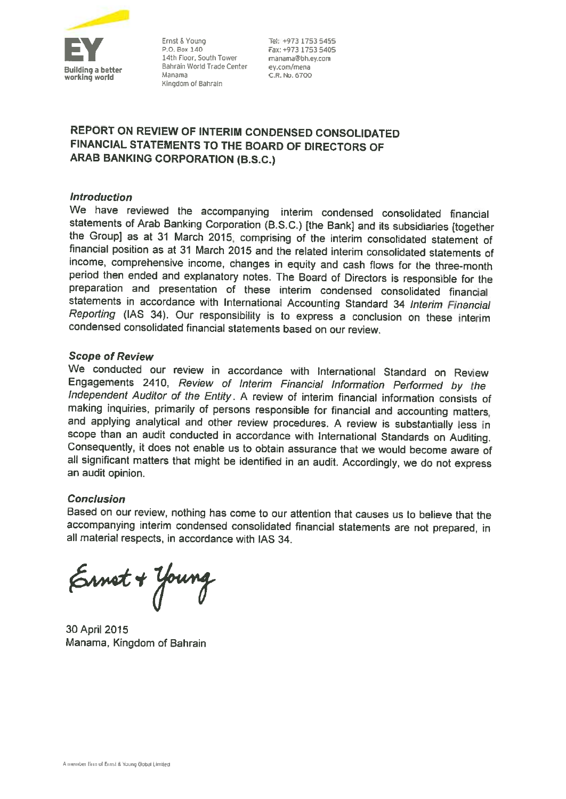

Ernst & Young P.O. Box 140 14th Floor, South Tower Bahrain World Trade Center Manama Kingdom of Bahrain

Tel: 14973 1753 5455 Fax: +973 1753 5405 manama@bh.ev.com ey.com/mena C.R. No. 6700

# REPORT ON REVIEW OF INTERIM CONDENSED CONSOLIDATED FINANCIAL STATEMENTS TO THE BOARD OF DIRECTORS OF **ARAB BANKING CORPORATION (B.S.C.)**

### **Introduction**

We have reviewed the accompanying interim condensed consolidated financial statements of Arab Banking Corporation (B.S.C.) [the Bank] and its subsidiaries [together the Group] as at 31 March 2015, comprising of the interim consolidated statement of financial position as at 31 March 2015 and the related interim consolidated statements of income, comprehensive income, changes in equity and cash flows for the three-month period then ended and explanatory notes. The Board of Directors is responsible for the preparation and presentation of these interim condensed consolidated financial statements in accordance with International Accounting Standard 34 Interim Financial Reporting (IAS 34). Our responsibility is to express a conclusion on these interim condensed consolidated financial statements based on our review.

### **Scope of Review**

We conducted our review in accordance with International Standard on Review Engagements 2410, Review of Interim Financial Information Performed by the Independent Auditor of the Entity. A review of interim financial information consists of making inquiries, primarily of persons responsible for financial and accounting matters, and applying analytical and other review procedures. A review is substantially less in scope than an audit conducted in accordance with International Standards on Auditing. Consequently, it does not enable us to obtain assurance that we would become aware of all significant matters that might be identified in an audit. Accordingly, we do not express an audit opinion.

### **Conclusion**

Based on our review, nothing has come to our attention that causes us to believe that the accompanying interim condensed consolidated financial statements are not prepared, in all material respects, in accordance with IAS 34.

Ernet + Young

30 April 2015 Manama, Kingdom of Bahrain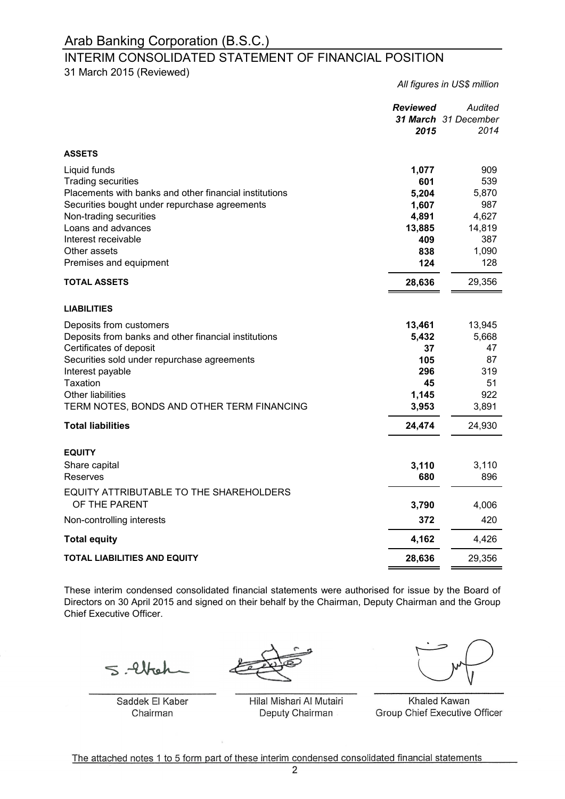# INTERIM CONSOLIDATED STATEMENT OF FINANCIAL POSITION

31 March 2015 (Reviewed)

*All figures in US\$ million*

|                                                                                                                                                                                                                                                                     | <b>Reviewed</b><br>2015                                     | Audited<br>31 March 31 December<br>2014                  |
|---------------------------------------------------------------------------------------------------------------------------------------------------------------------------------------------------------------------------------------------------------------------|-------------------------------------------------------------|----------------------------------------------------------|
| <b>ASSETS</b>                                                                                                                                                                                                                                                       |                                                             |                                                          |
| Liquid funds<br><b>Trading securities</b><br>Placements with banks and other financial institutions<br>Securities bought under repurchase agreements<br>Non-trading securities<br>Loans and advances                                                                | 1,077<br>601<br>5,204<br>1,607<br>4,891<br>13,885           | 909<br>539<br>5,870<br>987<br>4,627<br>14,819            |
| Interest receivable<br>Other assets                                                                                                                                                                                                                                 | 409<br>838                                                  | 387<br>1,090                                             |
| Premises and equipment                                                                                                                                                                                                                                              | 124                                                         | 128                                                      |
| <b>TOTAL ASSETS</b>                                                                                                                                                                                                                                                 | 28,636                                                      | 29,356                                                   |
| <b>LIABILITIES</b>                                                                                                                                                                                                                                                  |                                                             |                                                          |
| Deposits from customers<br>Deposits from banks and other financial institutions<br>Certificates of deposit<br>Securities sold under repurchase agreements<br>Interest payable<br>Taxation<br><b>Other liabilities</b><br>TERM NOTES, BONDS AND OTHER TERM FINANCING | 13,461<br>5,432<br>37<br>105<br>296<br>45<br>1,145<br>3,953 | 13,945<br>5,668<br>47<br>87<br>319<br>51<br>922<br>3,891 |
| <b>Total liabilities</b>                                                                                                                                                                                                                                            | 24,474                                                      | 24,930                                                   |
| <b>EQUITY</b><br>Share capital<br>Reserves                                                                                                                                                                                                                          | 3,110<br>680                                                | 3,110<br>896                                             |
| EQUITY ATTRIBUTABLE TO THE SHAREHOLDERS<br>OF THE PARENT                                                                                                                                                                                                            | 3,790                                                       | 4,006                                                    |
| Non-controlling interests                                                                                                                                                                                                                                           | 372                                                         | 420                                                      |
| <b>Total equity</b>                                                                                                                                                                                                                                                 | 4,162                                                       | 4,426                                                    |
| <b>TOTAL LIABILITIES AND EQUITY</b>                                                                                                                                                                                                                                 | 28,636                                                      | 29,356                                                   |

These interim condensed consolidated financial statements were authorised for issue by the Board of Directors on 30 April 2015 and signed on their behalf by the Chairman, Deputy Chairman and the Group Chief Executive Officer.

 $5.44$ 

Saddek El Kaber Chairman

Hilal Mishari Al Mutairi Deputy Chairman

 $\overline{y}$ 

Khaled Kawan Group Chief Executive Officer

The attached notes 1 to 5 form part of these interim condensed consolidated financial statements  $\overline{a}$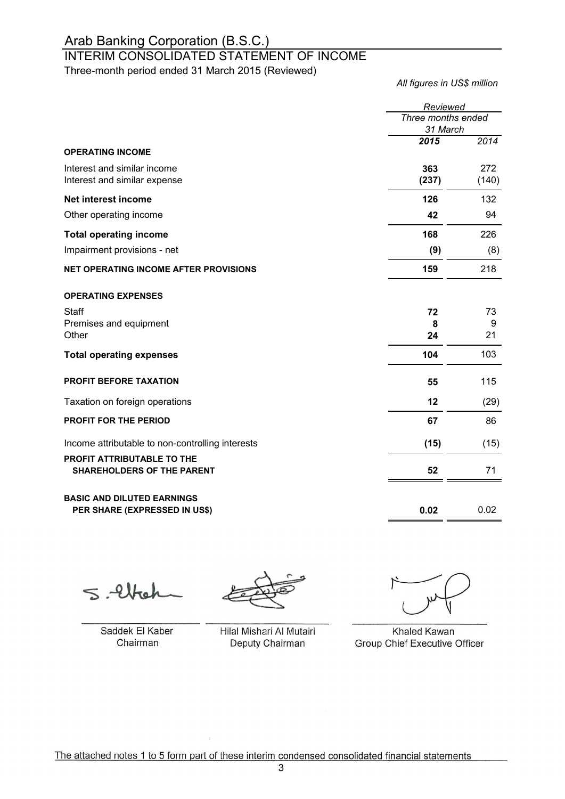# INTERIM CONSOLIDATED STATEMENT OF INCOME

Three-month period ended 31 March 2015 (Reviewed)

*All figures in US\$ million*

|                                                                 | Reviewed                       |              |  |
|-----------------------------------------------------------------|--------------------------------|--------------|--|
|                                                                 | Three months ended<br>31 March |              |  |
|                                                                 | 2015                           | 2014         |  |
| <b>OPERATING INCOME</b>                                         |                                |              |  |
| Interest and similar income<br>Interest and similar expense     | 363<br>(237)                   | 272<br>(140) |  |
| Net interest income                                             | 126                            | 132          |  |
| Other operating income                                          | 42                             | 94           |  |
| <b>Total operating income</b>                                   | 168                            | 226          |  |
| Impairment provisions - net                                     | (9)                            | (8)          |  |
| <b>NET OPERATING INCOME AFTER PROVISIONS</b>                    | 159                            | 218          |  |
| <b>OPERATING EXPENSES</b>                                       |                                |              |  |
| Staff                                                           | 72                             | 73           |  |
| Premises and equipment<br>Other                                 | 8<br>24                        | 9<br>21      |  |
|                                                                 |                                |              |  |
| <b>Total operating expenses</b>                                 | 104                            | 103          |  |
| <b>PROFIT BEFORE TAXATION</b>                                   | 55                             | 115          |  |
| Taxation on foreign operations                                  | 12                             | (29)         |  |
| PROFIT FOR THE PERIOD                                           | 67                             | 86           |  |
| Income attributable to non-controlling interests                | (15)                           | (15)         |  |
| PROFIT ATTRIBUTABLE TO THE<br><b>SHAREHOLDERS OF THE PARENT</b> | 52                             | 71           |  |
| <b>BASIC AND DILUTED EARNINGS</b>                               |                                |              |  |
| PER SHARE (EXPRESSED IN US\$)                                   | 0.02                           | 0.02         |  |

 $-91$ 

Saddek El Kaber Chairman

Saddek El Kaber Khaled Kawan Hilal Mishari Al Mutairi Deputy Chairman  $\overline{\phantom{a}}$ 

Group Chief Executive Officer Khaled Kawan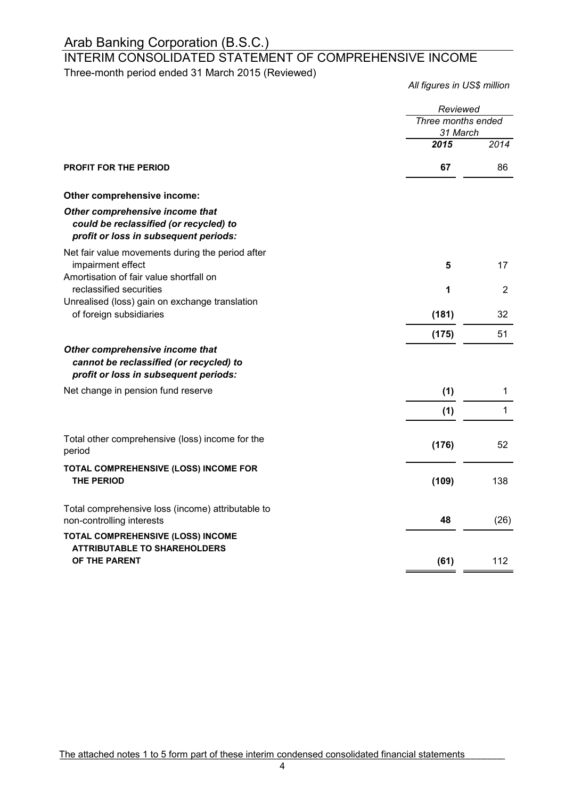# INTERIM CONSOLIDATED STATEMENT OF COMPREHENSIVE INCOME

Three-month period ended 31 March 2015 (Reviewed)

*All figures in US\$ million*

|                                                                                                                     | Reviewed                       |                |
|---------------------------------------------------------------------------------------------------------------------|--------------------------------|----------------|
|                                                                                                                     | Three months ended<br>31 March |                |
|                                                                                                                     | 2015                           | 2014           |
| <b>PROFIT FOR THE PERIOD</b>                                                                                        | 67                             | 86             |
| Other comprehensive income:                                                                                         |                                |                |
| Other comprehensive income that<br>could be reclassified (or recycled) to<br>profit or loss in subsequent periods:  |                                |                |
| Net fair value movements during the period after<br>impairment effect<br>Amortisation of fair value shortfall on    | 5                              | 17             |
| reclassified securities<br>Unrealised (loss) gain on exchange translation                                           | 1                              | $\overline{2}$ |
| of foreign subsidiaries                                                                                             | (181)                          | 32             |
|                                                                                                                     | (175)                          | 51             |
| Other comprehensive income that<br>cannot be reclassified (or recycled) to<br>profit or loss in subsequent periods: |                                |                |
| Net change in pension fund reserve                                                                                  | (1)                            | 1              |
|                                                                                                                     | (1)                            | $\mathbf{1}$   |
| Total other comprehensive (loss) income for the<br>period                                                           | (176)                          | 52             |
| TOTAL COMPREHENSIVE (LOSS) INCOME FOR<br><b>THE PERIOD</b>                                                          | (109)                          | 138            |
| Total comprehensive loss (income) attributable to<br>non-controlling interests                                      | 48                             | (26)           |
| TOTAL COMPREHENSIVE (LOSS) INCOME<br><b>ATTRIBUTABLE TO SHAREHOLDERS</b>                                            |                                |                |
| OF THE PARENT                                                                                                       | (61)                           | 112            |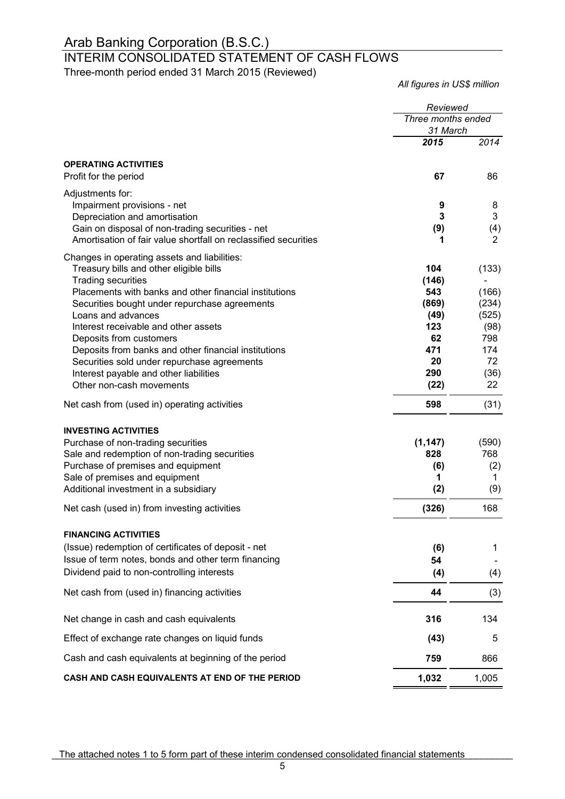# INTERIM CONSOLIDATED STATEMENT OF CASH FLOWS

Three-month period ended 31 March 2015 (Reviewed)

*All figures in US\$ million*

|                                                                                                                     | Reviewed           |            |
|---------------------------------------------------------------------------------------------------------------------|--------------------|------------|
|                                                                                                                     | Three months ended |            |
|                                                                                                                     | 31 March           |            |
|                                                                                                                     | 2015               | 2014       |
| <b>OPERATING ACTIVITIES</b>                                                                                         |                    |            |
| Profit for the period                                                                                               | 67                 | 86         |
| Adjustments for:                                                                                                    |                    |            |
| Impairment provisions - net                                                                                         | 9<br>3             | 8<br>3     |
| Depreciation and amortisation                                                                                       |                    |            |
| Gain on disposal of non-trading securities - net<br>Amortisation of fair value shortfall on reclassified securities | (9)<br>1           | (4)<br>2   |
|                                                                                                                     |                    |            |
| Changes in operating assets and liabilities:<br>Treasury bills and other eligible bills                             | 104                | (133)      |
| <b>Trading securities</b>                                                                                           | (146)              |            |
| Placements with banks and other financial institutions                                                              | 543                | (166)      |
| Securities bought under repurchase agreements                                                                       | (869)              | (234)      |
| Loans and advances                                                                                                  | (49)               | (525)      |
| Interest receivable and other assets                                                                                | 123                | (98)       |
| Deposits from customers                                                                                             | 62                 | 798        |
| Deposits from banks and other financial institutions                                                                | 471                | 174        |
| Securities sold under repurchase agreements                                                                         | 20                 | 72         |
| Interest payable and other liabilities                                                                              | 290                | (36)<br>22 |
| Other non-cash movements                                                                                            | (22)               |            |
| Net cash from (used in) operating activities                                                                        | 598                | (31)       |
| <b>INVESTING ACTIVITIES</b>                                                                                         |                    |            |
| Purchase of non-trading securities                                                                                  | (1, 147)           | (590)      |
| Sale and redemption of non-trading securities                                                                       | 828                | 768        |
| Purchase of premises and equipment                                                                                  | (6)                | (2)        |
| Sale of premises and equipment                                                                                      | 1                  | 1          |
| Additional investment in a subsidiary                                                                               | (2)                | (9)        |
| Net cash (used in) from investing activities                                                                        | (326)              | 168        |
| <b>FINANCING ACTIVITIES</b>                                                                                         |                    |            |
| (Issue) redemption of certificates of deposit - net                                                                 | (6)                | 1          |
| Issue of term notes, bonds and other term financing                                                                 | 54                 |            |
| Dividend paid to non-controlling interests                                                                          | (4)                | (4)        |
| Net cash from (used in) financing activities                                                                        | 44                 | (3)        |
| Net change in cash and cash equivalents                                                                             | 316                | 134        |
| Effect of exchange rate changes on liquid funds                                                                     | (43)               | 5          |
| Cash and cash equivalents at beginning of the period                                                                | 759                | 866        |
| CASH AND CASH EQUIVALENTS AT END OF THE PERIOD                                                                      | 1,032              | 1,005      |

The attached notes 1 to 5 form part of these interim condensed consolidated financial statements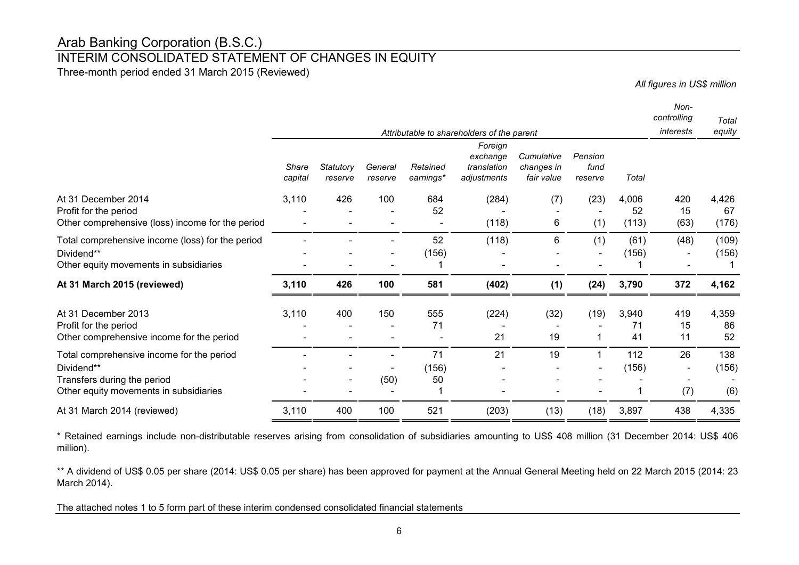# INTERIM CONSOLIDATED STATEMENT OF CHANGES IN EQUITY

Three-month period ended 31 March 2015 (Reviewed)

*All figures in US\$ million*

|                                                                                                                                  |                  |                              |                    |                       |                                                                                                 |                                        |                            |                      | Non-<br>controlling | Total                |
|----------------------------------------------------------------------------------------------------------------------------------|------------------|------------------------------|--------------------|-----------------------|-------------------------------------------------------------------------------------------------|----------------------------------------|----------------------------|----------------------|---------------------|----------------------|
|                                                                                                                                  | Share<br>capital | Statutory<br>reserve         | General<br>reserve | Retained<br>earnings* | Attributable to shareholders of the parent<br>Foreign<br>exchange<br>translation<br>adjustments | Cumulative<br>changes in<br>fair value | Pension<br>fund<br>reserve | Total                | interests           | equity               |
| At 31 December 2014<br>Profit for the period<br>Other comprehensive (loss) income for the period                                 | 3,110            | 426                          | 100                | 684<br>52             | (284)<br>(118)                                                                                  | (7)<br>6                               | (23)<br>(1)                | 4,006<br>52<br>(113) | 420<br>15<br>(63)   | 4,426<br>67<br>(176) |
| Total comprehensive income (loss) for the period<br>Dividend**<br>Other equity movements in subsidiaries                         |                  |                              |                    | 52<br>(156)           | (118)                                                                                           | 6                                      | (1)                        | (61)<br>(156)        | (48)                | (109)<br>(156)       |
| At 31 March 2015 (reviewed)                                                                                                      | 3,110            | 426                          | 100                | 581                   | (402)                                                                                           | (1)                                    | (24)                       | 3,790                | 372                 | 4,162                |
| At 31 December 2013<br>Profit for the period<br>Other comprehensive income for the period                                        | 3,110            | 400                          | 150                | 555<br>71             | (224)<br>21                                                                                     | (32)<br>19                             | (19)                       | 3,940<br>71<br>41    | 419<br>15<br>11     | 4,359<br>86<br>52    |
| Total comprehensive income for the period<br>Dividend**<br>Transfers during the period<br>Other equity movements in subsidiaries |                  | $\qquad \qquad \blacksquare$ | (50)               | 71<br>(156)<br>50     | 21                                                                                              | 19                                     |                            | 112<br>(156)         | 26<br>(7)           | 138<br>(156)<br>(6)  |
| At 31 March 2014 (reviewed)                                                                                                      | 3,110            | 400                          | 100                | 521                   | (203)                                                                                           | (13)                                   | (18)                       | 3,897                | 438                 | 4,335                |

\* Retained earnings include non-distributable reserves arising from consolidation of subsidiaries amounting to US\$ 408 million (31 December 2014: US\$ 406 million).

\*\* A dividend of US\$ 0.05 per share (2014: US\$ 0.05 per share) has been approved for payment at the Annual General Meeting held on 22 March 2015 (2014: 23 March 2014).

The attached notes 1 to 5 form part of these interim condensed consolidated financial statements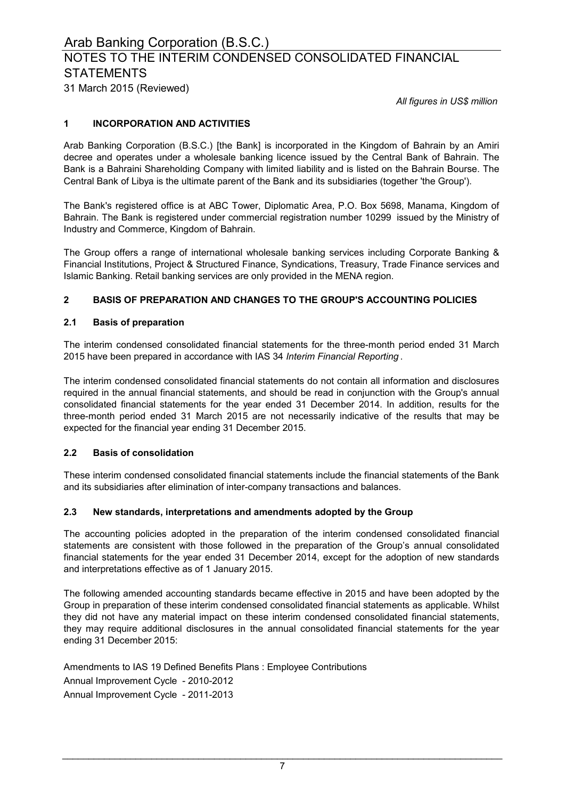# NOTES TO THE INTERIM CONDENSED CONSOLIDATED FINANCIAL **STATEMENTS**

31 March 2015 (Reviewed)

*All figures in US\$ million*

### **1 INCORPORATION AND ACTIVITIES**

Arab Banking Corporation (B.S.C.) [the Bank] is incorporated in the Kingdom of Bahrain by an Amiri decree and operates under a wholesale banking licence issued by the Central Bank of Bahrain. The Bank is a Bahraini Shareholding Company with limited liability and is listed on the Bahrain Bourse. The Central Bank of Libya is the ultimate parent of the Bank and its subsidiaries (together 'the Group').

The Bank's registered office is at ABC Tower, Diplomatic Area, P.O. Box 5698, Manama, Kingdom of Bahrain. The Bank is registered under commercial registration number 10299 issued by the Ministry of Industry and Commerce, Kingdom of Bahrain.

The Group offers a range of international wholesale banking services including Corporate Banking & Financial Institutions, Project & Structured Finance, Syndications, Treasury, Trade Finance services and Islamic Banking. Retail banking services are only provided in the MENA region.

## **2 BASIS OF PREPARATION AND CHANGES TO THE GROUP'S ACCOUNTING POLICIES**

### **2.1 Basis of preparation**

The interim condensed consolidated financial statements for the three-month period ended 31 March 2015 have been prepared in accordance with IAS 34 *Interim Financial Reporting* .

The interim condensed consolidated financial statements do not contain all information and disclosures required in the annual financial statements, and should be read in conjunction with the Group's annual consolidated financial statements for the year ended 31 December 2014. In addition, results for the three-month period ended 31 March 2015 are not necessarily indicative of the results that may be expected for the financial year ending 31 December 2015.

#### **2.2 Basis of consolidation**

These interim condensed consolidated financial statements include the financial statements of the Bank and its subsidiaries after elimination of inter-company transactions and balances.

#### **2.3 New standards, interpretations and amendments adopted by the Group**

The accounting policies adopted in the preparation of the interim condensed consolidated financial statements are consistent with those followed in the preparation of the Group's annual consolidated financial statements for the year ended 31 December 2014, except for the adoption of new standards and interpretations effective as of 1 January 2015.

The following amended accounting standards became effective in 2015 and have been adopted by the Group in preparation of these interim condensed consolidated financial statements as applicable. Whilst they did not have any material impact on these interim condensed consolidated financial statements, they may require additional disclosures in the annual consolidated financial statements for the year ending 31 December 2015:

Amendments to IAS 19 Defined Benefits Plans : Employee Contributions Annual Improvement Cycle - 2010-2012 Annual Improvement Cycle - 2011-2013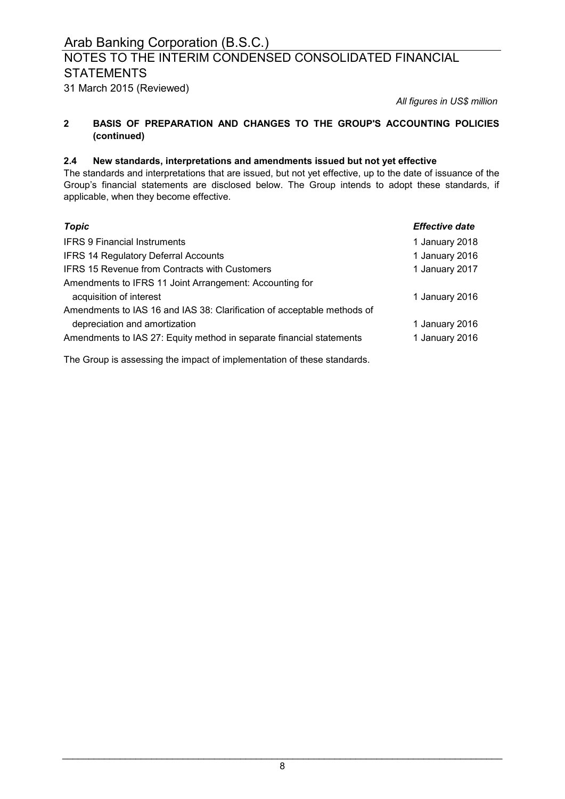# NOTES TO THE INTERIM CONDENSED CONSOLIDATED FINANCIAL **STATEMENTS**

31 March 2015 (Reviewed)

*All figures in US\$ million*

#### **2 BASIS OF PREPARATION AND CHANGES TO THE GROUP'S ACCOUNTING POLICIES (continued)**

### **2.4 New standards, interpretations and amendments issued but not yet effective**

The standards and interpretations that are issued, but not yet effective, up to the date of issuance of the Group's financial statements are disclosed below. The Group intends to adopt these standards, if applicable, when they become effective.

| Topic                                                                   | <b>Effective date</b> |
|-------------------------------------------------------------------------|-----------------------|
| <b>IFRS 9 Financial Instruments</b>                                     | 1 January 2018        |
| <b>IFRS 14 Regulatory Deferral Accounts</b>                             | 1 January 2016        |
| <b>IFRS 15 Revenue from Contracts with Customers</b>                    | 1 January 2017        |
| Amendments to IFRS 11 Joint Arrangement: Accounting for                 |                       |
| acquisition of interest                                                 | 1 January 2016        |
| Amendments to IAS 16 and IAS 38: Clarification of acceptable methods of |                       |
| depreciation and amortization                                           | 1 January 2016        |
| Amendments to IAS 27: Equity method in separate financial statements    | 1 January 2016        |

The Group is assessing the impact of implementation of these standards.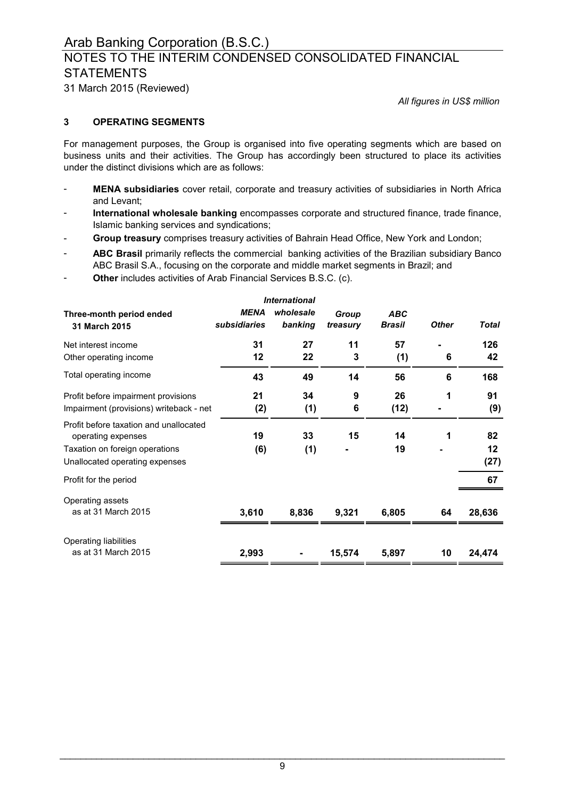# NOTES TO THE INTERIM CONDENSED CONSOLIDATED FINANCIAL **STATEMENTS**

31 March 2015 (Reviewed)

*All figures in US\$ million*

### **3 OPERATING SEGMENTS**

For management purposes, the Group is organised into five operating segments which are based on business units and their activities. The Group has accordingly been structured to place its activities under the distinct divisions which are as follows:

- **MENA subsidiaries** cover retail, corporate and treasury activities of subsidiaries in North Africa and Levant;
- **International wholesale banking** encompasses corporate and structured finance, trade finance, Islamic banking services and syndications;
- **Group treasury** comprises treasury activities of Bahrain Head Office, New York and London;
- **ABC Brasil** primarily reflects the commercial banking activities of the Brazilian subsidiary Banco ABC Brasil S.A., focusing on the corporate and middle market segments in Brazil; and
- **Other** includes activities of Arab Financial Services B.S.C. (c).

| <b>International</b>                                         |                             |                      |                   |                             |              |              |
|--------------------------------------------------------------|-----------------------------|----------------------|-------------------|-----------------------------|--------------|--------------|
| Three-month period ended<br>31 March 2015                    | <b>MENA</b><br>subsidiaries | wholesale<br>banking | Group<br>treasury | <b>ABC</b><br><b>Brasil</b> | <b>Other</b> | <b>Total</b> |
| Net interest income                                          | 31                          | 27                   | 11                | 57                          |              | 126          |
| Other operating income                                       | 12                          | 22                   | 3                 | (1)                         | 6            | 42           |
| Total operating income                                       | 43                          | 49                   | 14                | 56                          | 6            | 168          |
| Profit before impairment provisions                          | 21                          | 34                   | 9                 | 26                          | 1            | 91           |
| Impairment (provisions) writeback - net                      | (2)                         | (1)                  | 6                 | (12)                        |              | (9)          |
| Profit before taxation and unallocated<br>operating expenses | 19                          | 33                   | 15                | 14                          |              | 82           |
| Taxation on foreign operations                               | (6)                         | (1)                  |                   | 19                          |              | 12           |
| Unallocated operating expenses                               |                             |                      |                   |                             |              | (27)         |
| Profit for the period                                        |                             |                      |                   |                             |              | 67           |
| Operating assets                                             |                             |                      |                   |                             |              |              |
| as at 31 March 2015                                          | 3,610                       | 8,836                | 9,321             | 6,805                       | 64           | 28,636       |
| Operating liabilities                                        |                             |                      |                   |                             |              |              |
| as at 31 March 2015                                          | 2,993                       |                      | 15,574            | 5,897                       | 10           | 24,474       |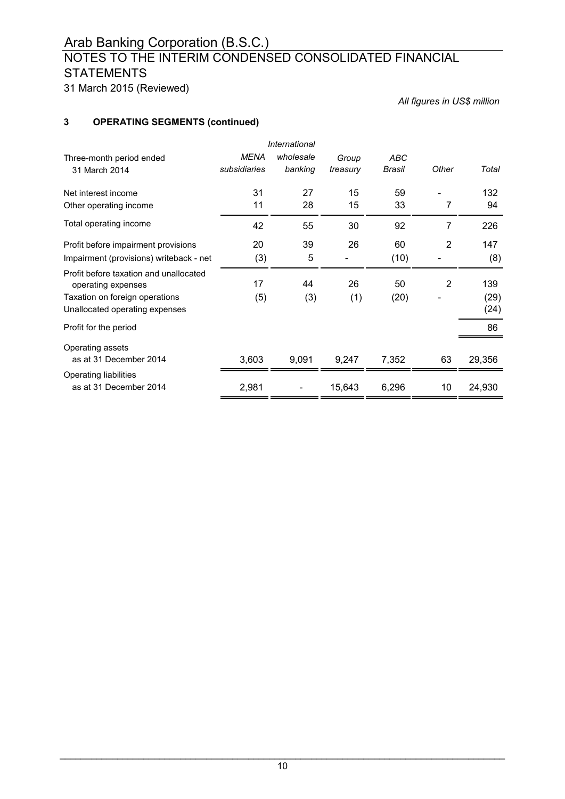# NOTES TO THE INTERIM CONDENSED CONSOLIDATED FINANCIAL **STATEMENTS**

31 March 2015 (Reviewed)

*All figures in US\$ million*

# **3 OPERATING SEGMENTS (continued)**

|                                                              |              | <i><b>International</b></i> |          |        |                |        |
|--------------------------------------------------------------|--------------|-----------------------------|----------|--------|----------------|--------|
| Three-month period ended                                     | <b>MENA</b>  | wholesale                   | Group    | ABC    |                |        |
| 31 March 2014                                                | subsidiaries | banking                     | treasury | Brasil | Other          | Total  |
| Net interest income                                          | 31           | 27                          | 15       | 59     |                | 132    |
| Other operating income                                       | 11           | 28                          | 15       | 33     | 7              | 94     |
| Total operating income                                       | 42           | 55                          | 30       | 92     | 7              | 226    |
| Profit before impairment provisions                          | 20           | 39                          | 26       | 60     | $\overline{2}$ | 147    |
| Impairment (provisions) writeback - net                      | (3)          | 5                           |          | (10)   |                | (8)    |
| Profit before taxation and unallocated<br>operating expenses | 17           | 44                          | 26       | 50     | 2              | 139    |
| Taxation on foreign operations                               | (5)          | (3)                         | (1)      | (20)   |                | (29)   |
| Unallocated operating expenses                               |              |                             |          |        |                | (24)   |
| Profit for the period                                        |              |                             |          |        |                | 86     |
| Operating assets                                             |              |                             |          |        |                |        |
| as at 31 December 2014                                       | 3,603        | 9,091                       | 9,247    | 7,352  | 63             | 29,356 |
| Operating liabilities                                        |              |                             |          |        |                |        |
| as at 31 December 2014                                       | 2,981        |                             | 15,643   | 6,296  | 10             | 24,930 |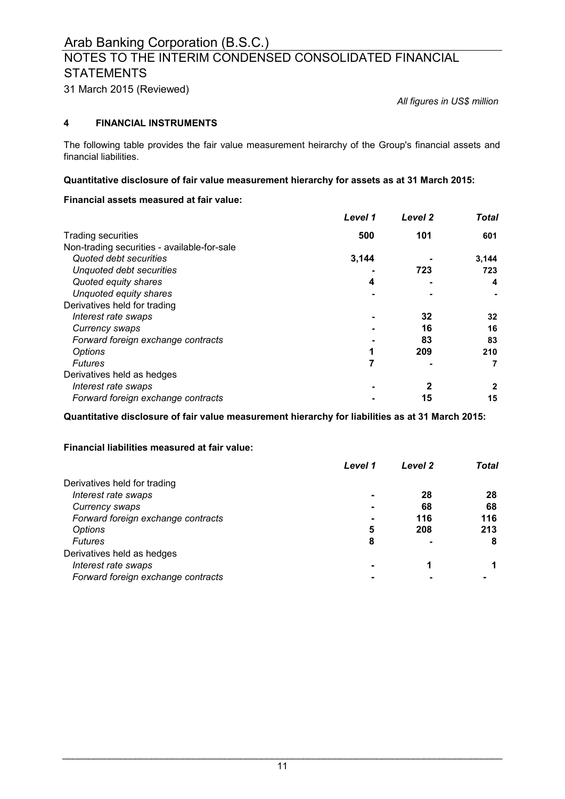# NOTES TO THE INTERIM CONDENSED CONSOLIDATED FINANCIAL **STATEMENTS**

31 March 2015 (Reviewed)

*All figures in US\$ million*

### **4 FINANCIAL INSTRUMENTS**

The following table provides the fair value measurement heirarchy of the Group's financial assets and financial liabilities.

#### **Quantitative disclosure of fair value measurement hierarchy for assets as at 31 March 2015:**

#### **Financial assets measured at fair value:**

|                                             | Level 1 | Level 2 | <b>Total</b> |
|---------------------------------------------|---------|---------|--------------|
| <b>Trading securities</b>                   | 500     | 101     | 601          |
| Non-trading securities - available-for-sale |         |         |              |
| Quoted debt securities                      | 3.144   |         | 3,144        |
| Unquoted debt securities                    |         | 723     | 723          |
| Quoted equity shares                        | 4       |         | 4            |
| Unquoted equity shares                      |         |         |              |
| Derivatives held for trading                |         |         |              |
| Interest rate swaps                         |         | 32      | 32           |
| Currency swaps                              |         | 16      | 16           |
| Forward foreign exchange contracts          |         | 83      | 83           |
| Options                                     |         | 209     | 210          |
| <b>Futures</b>                              | 7       |         |              |
| Derivatives held as hedges                  |         |         |              |
| Interest rate swaps                         |         | 2       | 2            |
| Forward foreign exchange contracts          |         | 15      | 15           |

**Quantitative disclosure of fair value measurement hierarchy for liabilities as at 31 March 2015:**

#### **Financial liabilities measured at fair value:**

|                                    | Level 1 | Level 2 | Total |
|------------------------------------|---------|---------|-------|
| Derivatives held for trading       |         |         |       |
| Interest rate swaps                |         | 28      | 28    |
| Currency swaps                     |         | 68      | 68    |
| Forward foreign exchange contracts |         | 116     | 116   |
| Options                            | 5       | 208     | 213   |
| <b>Futures</b>                     | 8       |         | 8     |
| Derivatives held as hedges         |         |         |       |
| Interest rate swaps                |         |         |       |
| Forward foreign exchange contracts |         |         |       |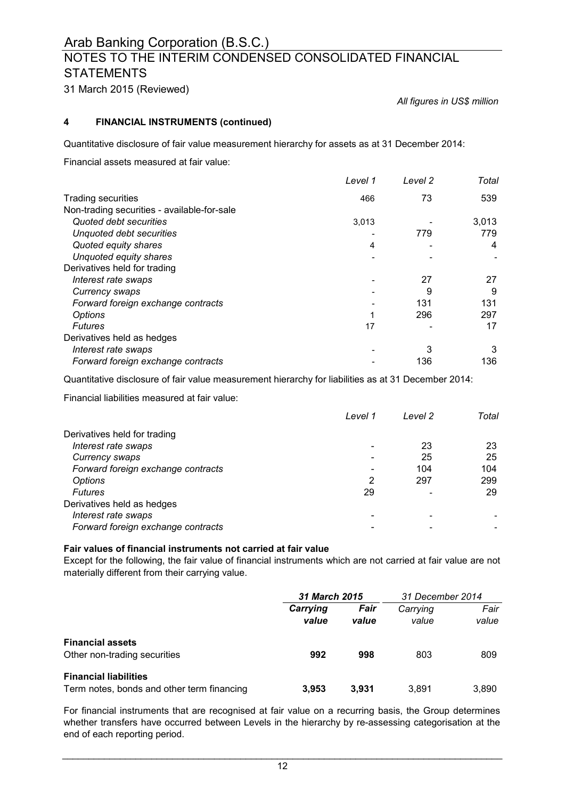# NOTES TO THE INTERIM CONDENSED CONSOLIDATED FINANCIAL **STATEMENTS**

31 March 2015 (Reviewed)

*All figures in US\$ million*

### **4 FINANCIAL INSTRUMENTS (continued)**

Quantitative disclosure of fair value measurement hierarchy for assets as at 31 December 2014:

Financial assets measured at fair value:

|                                             | Level 1 | Level 2 | Total |
|---------------------------------------------|---------|---------|-------|
| <b>Trading securities</b>                   | 466     | 73      | 539   |
| Non-trading securities - available-for-sale |         |         |       |
| Quoted debt securities                      | 3,013   |         | 3,013 |
| Unquoted debt securities                    |         | 779     | 779   |
| Quoted equity shares                        | 4       |         | 4     |
| Unquoted equity shares                      |         |         |       |
| Derivatives held for trading                |         |         |       |
| Interest rate swaps                         |         | 27      | 27    |
| Currency swaps                              |         | 9       | 9     |
| Forward foreign exchange contracts          |         | 131     | 131   |
| <b>Options</b>                              |         | 296     | 297   |
| <b>Futures</b>                              | 17      |         | 17    |
| Derivatives held as hedges                  |         |         |       |
| Interest rate swaps                         |         | 3       | 3     |
| Forward foreign exchange contracts          |         | 136     | 136   |

Quantitative disclosure of fair value measurement hierarchy for liabilities as at 31 December 2014:

Financial liabilities measured at fair value:

|                                    | Level 1 | Level 2 | Total |
|------------------------------------|---------|---------|-------|
| Derivatives held for trading       |         |         |       |
| Interest rate swaps                |         | 23      | 23    |
| Currency swaps                     |         | 25      | 25    |
| Forward foreign exchange contracts |         | 104     | 104   |
| Options                            | 2       | 297     | 299   |
| <b>Futures</b>                     | 29      |         | 29    |
| Derivatives held as hedges         |         |         |       |
| Interest rate swaps                |         |         |       |
| Forward foreign exchange contracts |         |         |       |

### **Fair values of financial instruments not carried at fair value**

Except for the following, the fair value of financial instruments which are not carried at fair value are not materially different from their carrying value.

|                                                                            | 31 March 2015     |               | 31 December 2014  |               |
|----------------------------------------------------------------------------|-------------------|---------------|-------------------|---------------|
|                                                                            | Carrying<br>value | Fair<br>value | Carrying<br>value | Fair<br>value |
| <b>Financial assets</b><br>Other non-trading securities                    | 992               | 998           | 803               | 809           |
| <b>Financial liabilities</b><br>Term notes, bonds and other term financing | 3.953             | 3.931         | 3.891             | 3.890         |

For financial instruments that are recognised at fair value on a recurring basis, the Group determines whether transfers have occurred between Levels in the hierarchy by re-assessing categorisation at the end of each reporting period.